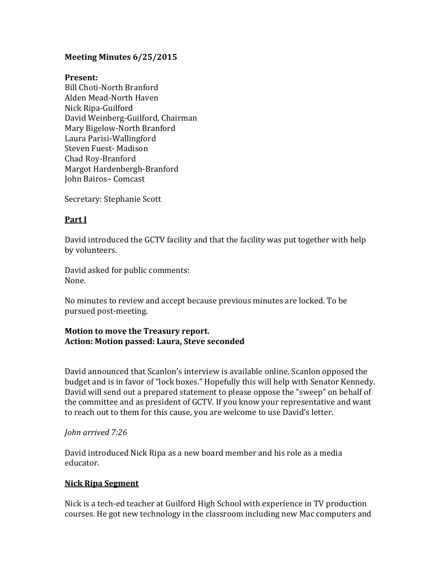# **Meeting Minutes 6/25/2015**

### **Present:**

Bill Choti-North Branford Alden Mead-North Haven Nick Ripa-Guilford David Weinberg-Guilford, Chairman Mary Bigelow-North Branford Laura Parisi-Wallingford Steven Fuest- Madison Chad Roy-Branford Margot Hardenbergh-Branford John Bairos– Comcast

Secretary: Stephanie Scott

# **Part I**

David introduced the GCTV facility and that the facility was put together with help by volunteers.

David asked for public comments: None.

No minutes to review and accept because previous minutes are locked. To be pursued post-meeting.

### **Motion to move the Treasury report. Action: Motion passed: Laura, Steve seconded**

David announced that Scanlon's interview is available online. Scanlon opposed the budget and is in favor of "lock boxes." Hopefully this will help with Senator Kennedy. David will send out a prepared statement to please oppose the "sweep" on behalf of the committee and as president of GCTV. If you know your representative and want to reach out to them for this cause, you are welcome to use David's letter.

## *John arrived 7:26*

David introduced Nick Ripa as a new board member and his role as a media educator.

## **Nick Ripa Segment**

Nick is a tech-ed teacher at Guilford High School with experience in TV production courses. He got new technology in the classroom including new Mac computers and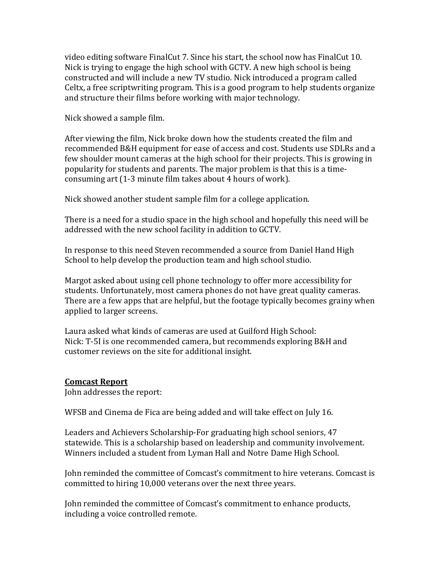video editing software FinalCut 7. Since his start, the school now has FinalCut 10. Nick is trying to engage the high school with GCTV. A new high school is being constructed and will include a new TV studio. Nick introduced a program called Celtx, a free scriptwriting program. This is a good program to help students organize and structure their films before working with major technology.

Nick showed a sample film.

After viewing the film, Nick broke down how the students created the film and recommended B&H equipment for ease of access and cost. Students use SDLRs and a few shoulder mount cameras at the high school for their projects. This is growing in popularity for students and parents. The major problem is that this is a timeconsuming art (1-3 minute film takes about 4 hours of work).

Nick showed another student sample film for a college application.

There is a need for a studio space in the high school and hopefully this need will be addressed with the new school facility in addition to GCTV.

In response to this need Steven recommended a source from Daniel Hand High School to help develop the production team and high school studio.

Margot asked about using cell phone technology to offer more accessibility for students. Unfortunately, most camera phones do not have great quality cameras. There are a few apps that are helpful, but the footage typically becomes grainy when applied to larger screens.

Laura asked what kinds of cameras are used at Guilford High School: Nick: T-5I is one recommended camera, but recommends exploring B&H and customer reviews on the site for additional insight.

## **Comcast Report**

John addresses the report:

WFSB and Cinema de Fica are being added and will take effect on July 16.

Leaders and Achievers Scholarship-For graduating high school seniors, 47 statewide. This is a scholarship based on leadership and community involvement. Winners included a student from Lyman Hall and Notre Dame High School.

John reminded the committee of Comcast's commitment to hire veterans. Comcast is committed to hiring 10,000 veterans over the next three years.

John reminded the committee of Comcast's commitment to enhance products, including a voice controlled remote.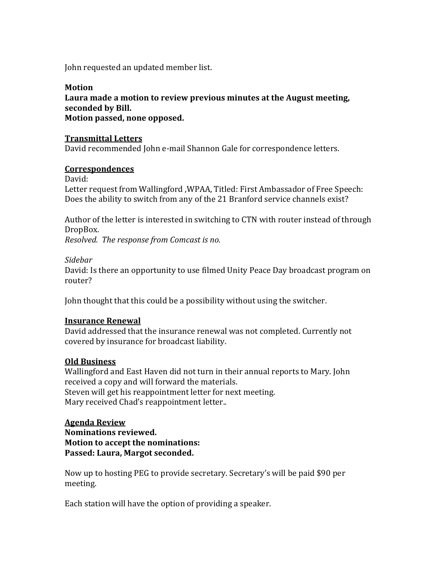John requested an updated member list.

## **Motion Laura made a motion to review previous minutes at the August meeting, seconded by Bill. Motion passed, none opposed.**

### **Transmittal Letters**

David recommended John e-mail Shannon Gale for correspondence letters.

#### **Correspondences**

David:

Letter request from Wallingford ,WPAA, Titled: First Ambassador of Free Speech: Does the ability to switch from any of the 21 Branford service channels exist?

Author of the letter is interested in switching to CTN with router instead of through DropBox.

*Resolved. The response from Comcast is no.* 

#### *Sidebar*

David: Is there an opportunity to use filmed Unity Peace Day broadcast program on router?

John thought that this could be a possibility without using the switcher.

## **Insurance Renewal**

David addressed that the insurance renewal was not completed. Currently not covered by insurance for broadcast liability.

#### **Old Business**

Wallingford and East Haven did not turn in their annual reports to Mary. John received a copy and will forward the materials. Steven will get his reappointment letter for next meeting. Mary received Chad's reappointment letter..

#### **Agenda Review**

**Nominations reviewed. Motion to accept the nominations: Passed: Laura, Margot seconded.** 

Now up to hosting PEG to provide secretary. Secretary's will be paid \$90 per meeting.

Each station will have the option of providing a speaker.